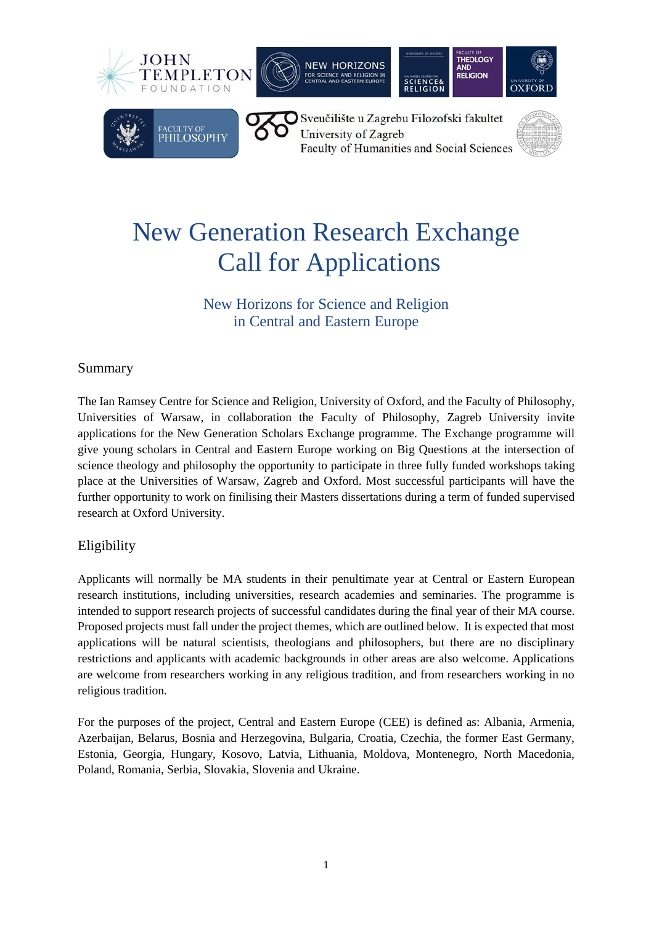







Sveučilište u Zagrebu Filozofski fakultet University of Zagreb Faculty of Humanities and Social Sciences



# New Generation Research Exchange Call for Applications

## New Horizons for Science and Religion in Central and Eastern Europe

### Summary

The Ian Ramsey Centre for Science and Religion, University of Oxford, and the Faculty of Philosophy, Universities of Warsaw, in collaboration the Faculty of Philosophy, Zagreb University invite applications for the New Generation Scholars Exchange programme. The Exchange programme will give young scholars in Central and Eastern Europe working on Big Questions at the intersection of science theology and philosophy the opportunity to participate in three fully funded workshops taking place at the Universities of Warsaw, Zagreb and Oxford. Most successful participants will have the further opportunity to work on finilising their Masters dissertations during a term of funded supervised research at Oxford University.

### Eligibility

Applicants will normally be MA students in their penultimate year at Central or Eastern European research institutions, including universities, research academies and seminaries. The programme is intended to support research projects of successful candidates during the final year of their MA course. Proposed projects must fall under the project themes, which are outlined below. It is expected that most applications will be natural scientists, theologians and philosophers, but there are no disciplinary restrictions and applicants with academic backgrounds in other areas are also welcome. Applications are welcome from researchers working in any religious tradition, and from researchers working in no religious tradition.

For the purposes of the project, Central and Eastern Europe (CEE) is defined as: Albania, Armenia, Azerbaijan, Belarus, Bosnia and Herzegovina, Bulgaria, Croatia, Czechia, the former East Germany, Estonia, Georgia, Hungary, Kosovo, Latvia, Lithuania, Moldova, Montenegro, North Macedonia, Poland, Romania, Serbia, Slovakia, Slovenia and Ukraine.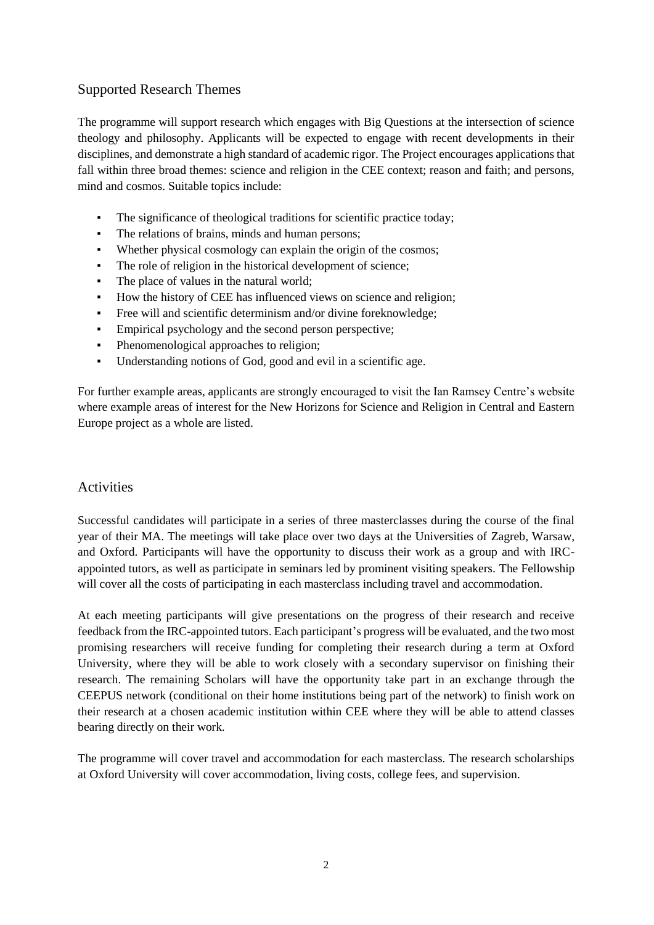#### Supported Research Themes

The programme will support research which engages with Big Questions at the intersection of science theology and philosophy. Applicants will be expected to engage with recent developments in their disciplines, and demonstrate a high standard of academic rigor. The Project encourages applications that fall within three broad themes: science and religion in the CEE context; reason and faith; and persons, mind and cosmos. Suitable topics include:

- The significance of theological traditions for scientific practice today;
- The relations of brains, minds and human persons;
- Whether physical cosmology can explain the origin of the cosmos;
- The role of religion in the historical development of science;
- The place of values in the natural world;
- How the history of CEE has influenced views on science and religion;
- Free will and scientific determinism and/or divine foreknowledge;
- Empirical psychology and the second person perspective;
- Phenomenological approaches to religion;
- Understanding notions of God, good and evil in a scientific age.

For further example areas, applicants are strongly encouraged to visit the Ian Ramsey Centre's website where example areas of interest for the New Horizons for Science and Religion in Central and Eastern Europe project as a whole are listed.

#### Activities

Successful candidates will participate in a series of three masterclasses during the course of the final year of their MA. The meetings will take place over two days at the Universities of Zagreb, Warsaw, and Oxford. Participants will have the opportunity to discuss their work as a group and with IRCappointed tutors, as well as participate in seminars led by prominent visiting speakers. The Fellowship will cover all the costs of participating in each masterclass including travel and accommodation.

At each meeting participants will give presentations on the progress of their research and receive feedback from the IRC-appointed tutors. Each participant's progress will be evaluated, and the two most promising researchers will receive funding for completing their research during a term at Oxford University, where they will be able to work closely with a secondary supervisor on finishing their research. The remaining Scholars will have the opportunity take part in an exchange through the CEEPUS network (conditional on their home institutions being part of the network) to finish work on their research at a chosen academic institution within CEE where they will be able to attend classes bearing directly on their work.

The programme will cover travel and accommodation for each masterclass. The research scholarships at Oxford University will cover accommodation, living costs, college fees, and supervision.